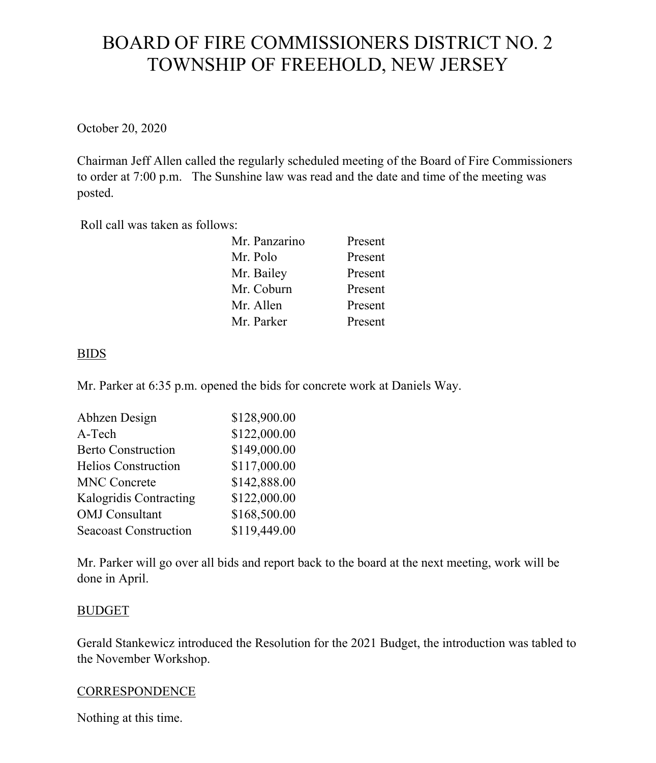# BOARD OF FIRE COMMISSIONERS DISTRICT NO. 2 TOWNSHIP OF FREEHOLD, NEW JERSEY

October 20, 2020

Chairman Jeff Allen called the regularly scheduled meeting of the Board of Fire Commissioners to order at 7:00 p.m. The Sunshine law was read and the date and time of the meeting was posted.

Roll call was taken as follows:

| Mr. Panzarino | Present |
|---------------|---------|
| Mr. Polo      | Present |
| Mr. Bailey    | Present |
| Mr. Coburn    | Present |
| Mr. Allen     | Present |
| Mr. Parker    | Present |

## BIDS

Mr. Parker at 6:35 p.m. opened the bids for concrete work at Daniels Way.

| Abhzen Design                | \$128,900.00 |
|------------------------------|--------------|
| A-Tech                       | \$122,000.00 |
| <b>Berto Construction</b>    | \$149,000.00 |
| <b>Helios Construction</b>   | \$117,000.00 |
| <b>MNC Concrete</b>          | \$142,888.00 |
| Kalogridis Contracting       | \$122,000.00 |
| <b>OMJ</b> Consultant        | \$168,500.00 |
| <b>Seacoast Construction</b> | \$119,449.00 |

Mr. Parker will go over all bids and report back to the board at the next meeting, work will be done in April.

### BUDGET

Gerald Stankewicz introduced the Resolution for the 2021 Budget, the introduction was tabled to the November Workshop.

### **CORRESPONDENCE**

Nothing at this time.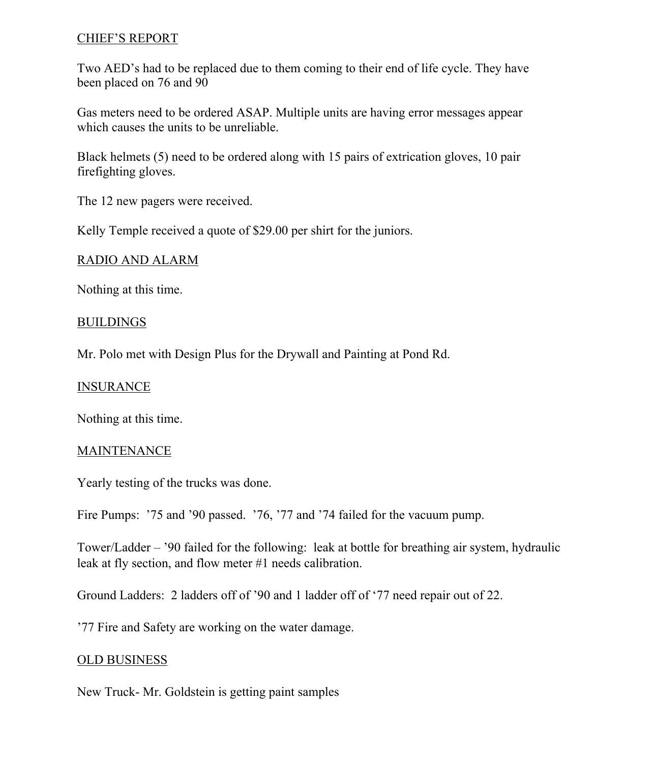### CHIEF'S REPORT

Two AED's had to be replaced due to them coming to their end of life cycle. They have been placed on 76 and 90

Gas meters need to be ordered ASAP. Multiple units are having error messages appear which causes the units to be unreliable.

Black helmets (5) need to be ordered along with 15 pairs of extrication gloves, 10 pair firefighting gloves.

The 12 new pagers were received.

Kelly Temple received a quote of \$29.00 per shirt for the juniors.

### RADIO AND ALARM

Nothing at this time.

### BUILDINGS

Mr. Polo met with Design Plus for the Drywall and Painting at Pond Rd.

#### INSURANCE

Nothing at this time.

#### MAINTENANCE

Yearly testing of the trucks was done.

Fire Pumps: '75 and '90 passed. '76, '77 and '74 failed for the vacuum pump.

Tower/Ladder – '90 failed for the following: leak at bottle for breathing air system, hydraulic leak at fly section, and flow meter #1 needs calibration.

Ground Ladders: 2 ladders off of '90 and 1 ladder off of '77 need repair out of 22.

'77 Fire and Safety are working on the water damage.

### OLD BUSINESS

New Truck- Mr. Goldstein is getting paint samples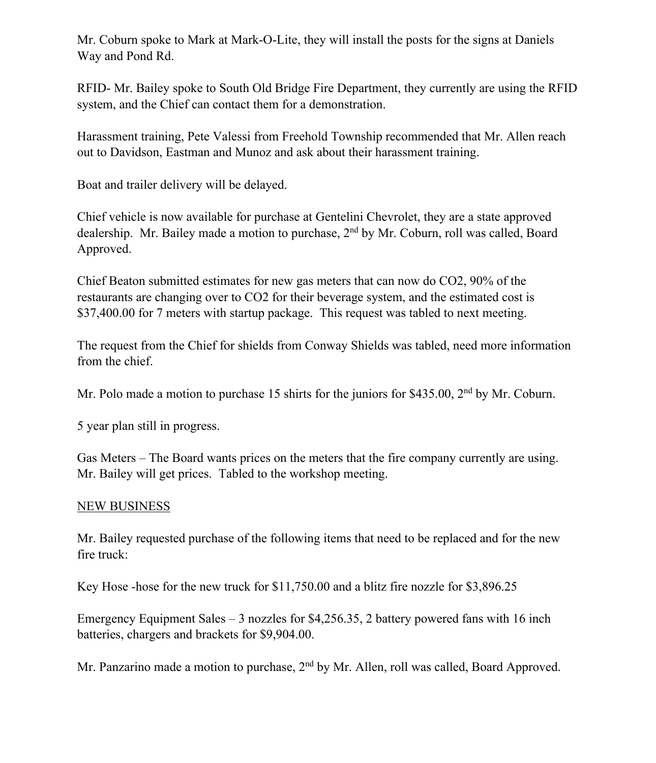Mr. Coburn spoke to Mark at Mark-O-Lite, they will install the posts for the signs at Daniels Way and Pond Rd.

RFID- Mr. Bailey spoke to South Old Bridge Fire Department, they currently are using the RFID system, and the Chief can contact them for a demonstration.

Harassment training, Pete Valessi from Freehold Township recommended that Mr. Allen reach out to Davidson, Eastman and Munoz and ask about their harassment training.

Boat and trailer delivery will be delayed.

Chief vehicle is now available for purchase at Gentelini Chevrolet, they are a state approved dealership. Mr. Bailey made a motion to purchase, 2<sup>nd</sup> by Mr. Coburn, roll was called, Board Approved.

Chief Beaton submitted estimates for new gas meters that can now do CO2, 90% of the restaurants are changing over to CO2 for their beverage system, and the estimated cost is \$37,400.00 for 7 meters with startup package. This request was tabled to next meeting.

The request from the Chief for shields from Conway Shields was tabled, need more information from the chief.

Mr. Polo made a motion to purchase 15 shirts for the juniors for \$435.00, 2<sup>nd</sup> by Mr. Coburn.

5 year plan still in progress.

Gas Meters – The Board wants prices on the meters that the fire company currently are using. Mr. Bailey will get prices. Tabled to the workshop meeting.

## NEW BUSINESS

Mr. Bailey requested purchase of the following items that need to be replaced and for the new fire truck:

Key Hose -hose for the new truck for \$11,750.00 and a blitz fire nozzle for \$3,896.25

Emergency Equipment Sales – 3 nozzles for \$4,256.35, 2 battery powered fans with 16 inch batteries, chargers and brackets for \$9,904.00.

Mr. Panzarino made a motion to purchase, 2<sup>nd</sup> by Mr. Allen, roll was called, Board Approved.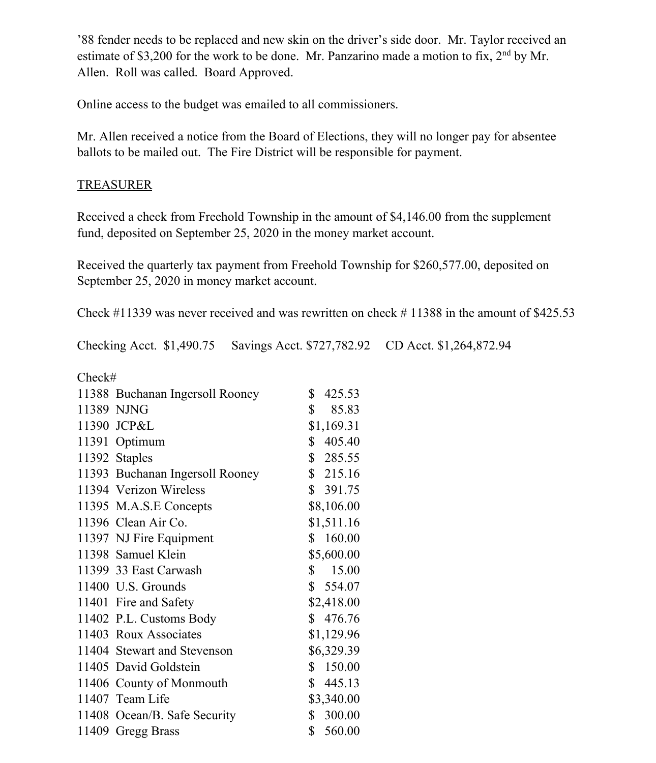'88 fender needs to be replaced and new skin on the driver's side door. Mr. Taylor received an estimate of \$3,200 for the work to be done. Mr. Panzarino made a motion to fix, 2<sup>nd</sup> by Mr. Allen. Roll was called. Board Approved.

Online access to the budget was emailed to all commissioners.

Mr. Allen received a notice from the Board of Elections, they will no longer pay for absentee ballots to be mailed out. The Fire District will be responsible for payment.

## TREASURER

Received a check from Freehold Township in the amount of \$4,146.00 from the supplement fund, deposited on September 25, 2020 in the money market account.

Received the quarterly tax payment from Freehold Township for \$260,577.00, deposited on September 25, 2020 in money market account.

Check #11339 was never received and was rewritten on check # 11388 in the amount of \$425.53

Checking Acct. \$1,490.75 Savings Acct. \$727,782.92 CD Acct. \$1,264,872.94

| Check# |                                 |                       |
|--------|---------------------------------|-----------------------|
|        | 11388 Buchanan Ingersoll Rooney | \$<br>425.53          |
|        | 11389 NJNG                      | $\mathbb{S}$<br>85.83 |
|        | 11390 JCP&L                     | \$1,169.31            |
|        | 11391 Optimum                   | \$405.40              |
|        | 11392 Staples                   | \$285.55              |
|        | 11393 Buchanan Ingersoll Rooney | \$215.16              |
|        | 11394 Verizon Wireless          | \$391.75              |
|        | 11395 M.A.S.E Concepts          | \$8,106.00            |
|        | 11396 Clean Air Co.             | \$1,511.16            |
|        | 11397 NJ Fire Equipment         | \$160.00              |
|        | 11398 Samuel Klein              | \$5,600.00            |
|        | 11399 33 East Carwash           | \$15.00               |
|        | 11400 U.S. Grounds              | \$554.07              |
|        | 11401 Fire and Safety           | \$2,418.00            |
|        | 11402 P.L. Customs Body         | \$476.76              |
|        | 11403 Roux Associates           | \$1,129.96            |
|        | 11404 Stewart and Stevenson     | \$6,329.39            |
|        | 11405 David Goldstein           | \$150.00              |
|        | 11406 County of Monmouth        | \$445.13              |
|        | 11407 Team Life                 | \$3,340.00            |
|        | 11408 Ocean/B. Safe Security    | 300.00<br>\$          |
|        | 11409 Gregg Brass               | \$560.00              |